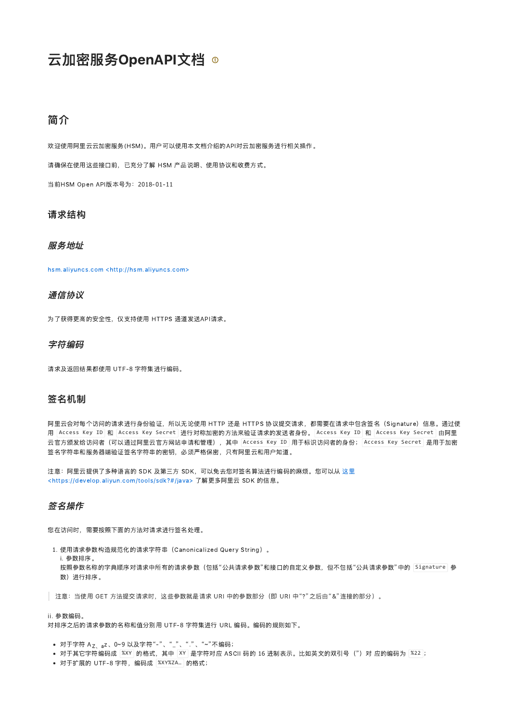# 云加密服务OpenAPI文档 ®

# 简介

欢迎使用阿里云云加密服务(HSM)。用户可以使用本文档介绍的API对云加密服务进行相关操作。

请确保在使用这些接口前,已充分了解 HSM 产品说明、使用协议和收费方式。

当前HSM Open API版本号为:2018‑01‑11

#### 请求结构

#### 服务地址

hsm.aliyuncs.com [<http://hsm.aliyuncs.com>](http://hsm.aliyuncs.com/)

## 通信协议

为了获得更高的安全性,仅支持使用 HTTPS 通道发送API请求。

#### 字符编码

请求及返回结果都使用 UTF‑8 字符集进行编码。

#### 签名机制

阿里云会对每个访问的请求进行身份验证,所以无论使用 HTTP 还是 HTTPS 协议提交请求,都需要在请求中包含签名 (Signature)信息。通过使 用 Access Key ID 和 Access Key Secret 进行对称加密的方法来验证请求的发送者身份。 Access Key ID 和 Access Key Secret 由阿里 云官方颁发给访问者(可以通过阿里云官方网站申请和管理),其中|Access Key ID|用于标识访问者的身份; Access Key Secret|是用于加密 签名字符串和服务器端验证签名字符串的密钥,必须严格保密,只有阿里云和用户知道。

注意:阿里云提供了多种语言的 SDK 及第三方 [SDK,可以免去您对签名算法进行编码的麻烦。您可以从](https://develop.aliyun.com/tools/sdk?#/java) 这里 <https://develop.aliyun.com/tools/sdk?#/java> 了解更多阿里云 SDK 的信息。

## 签名操作

您在访问时,需要按照下面的方法对请求进行签名处理。

1. 使用请求参数构造规范化的请求字符串(Canonicalized Query String)。

i. 参数排序。

..<br>i. 参数排序。<br>按照参数名称的字典顺序对请求中所有的请求参数(包括"公共请求参数"和接口的自定义参数,但不包括"公共请求参数"中的「<sup>Si</sup>gnature 参 数)进行排序。

■ 注意: 当使用 GET 方法提交请求时, 这些参数就是请求 URI 中的参数部分 (即 URI 中"?"之后由"&"连接的部分) 。

#### ii. 参数编码。

对排序之后的请求参数的名称和值分别用 UTF‑8 字符集进行 URL 编码。编码的规则如下。

- 对于字符 A<sub>Z、a</sub>z、0~9 以及字符"-"、"<sub>--</sub>"、"."、"~"不编码;
- 对于字符 A<sub>Z、a</sub>z、0~9 以及字符"- "、"\_"、"."、"~"不编码;<br>对于其它字符编码成 <mark>紧XY</mark> 的格式,其中 <mark>XY 是字符对应 ASCII 码的 16 进制表示。比如英文的双引号(")对</mark> 应的编码为 <mark>紧22</mark>;
- 对于扩展的 UTF-8 字符,编码成 |%XY%ZA... | 的格式;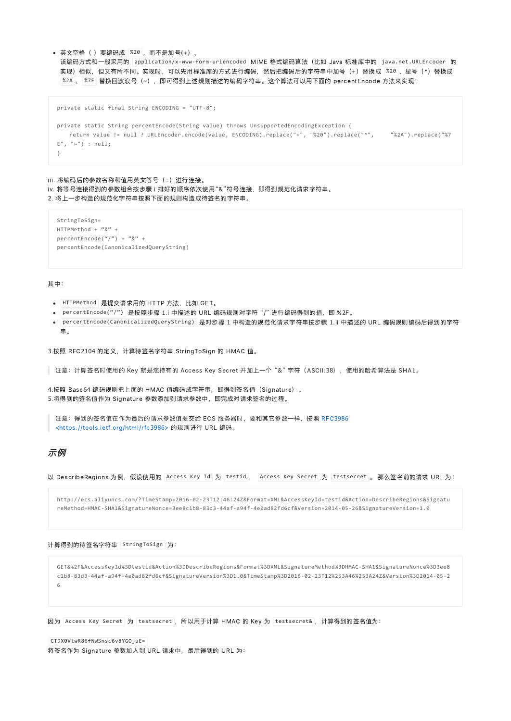```
英文空格( )要编码成 |%20 ,而不是加号(+)。
```
该编码方式和一般采用的 |application/x-www-form-urlencoded | MIME 格式编码算法(比如 Java 标准库中的 |java.net.URLEncoder |的 | 实现)相似,但又有所不同。实现时,可以先用标准库的方式进行编码,然后把编码后的字符串中加号(+)替换成 |<sup>%20 |</sup>、星号(\*)替换成 %2A 、 %7E 替换回波浪号(~),即可得到上述规则描述的编码字符串。这个算法可以用下面的 percentEncode 方法来实现:

```
private static final String ENCODING = "UTF‐8";
private static String percentEncode(String value) throws UnsupportedEncodingException {
   return value != null ? URLEncoder.encode(value, ENCODING).replace("+", "%20").replace("*", "%2A").replace("%7
E", "~") : null;
}
```
iii. 将编码后的参数名称和值用英文等号 (=) 进行连接。 iv. 将等号连接得到的参数组合按步骤 <sup>i</sup> 排好的顺序依次使用"&"符号连接,即得到规范化请求字符串。 2. 将上一步构造的规范化字符串按照下面的规则构造成待签名的字符串。

```
StringToSign=
HTTPMethod + "&" +
percentEncode("/") + "&" +
percentEncode(CanonicalizedQueryString)
```
其中:

- HTTPMethod  是提交请求用的 HTTP 方法,比如 GET。
- 是按照步骤 <sup>1</sup>.i 中描述的 URL 编码规则对字符 "/" 进行编码得到的值,即 %2F。 percentEncode("/")
- percentEncode(CanonicalizedQueryString) 是对步骤 1 中构造的规范化请求字符串按步骤 1.ii 中描述的 URL 编码规则编码后得到的字符 串。

3.按照 RFC2104 的定义,计算待签名字符串 StringToSign 的 HMAC 值。

│ 注意:计算签名时使用的 Key 就是您持有的 Access Key Secret 并加上一个"&"字符(ASCII:38),使用的哈希算法是 SHA1。

4.按照 Base64 编码规则把上面的 HMAC 值编码成字符串,即得到签名值(Signature)。 5.将得到的签名值作为 Signature 参数添加到请求参数中, 即完成对请求签名的过程。

```
注意: 得到的签名值在作为最后的请求参数值提交给 ECS 服务器时, 要和其它参数一样, 按照 RFC3986
<https://tools.ietf.org/html/rfc3986> 的规则进行 URL 编码。
```
#### 示例

以 DescribeRegions 为例, 假设使用的 Access Key Id 为 testid , Access Key Secret 为 testsecret 。 那么签名前的请求 URL 为:

http://ecs.aliyuncs.com/?TimeStamp=2016‐02‐23T12:46:24Z&Format=XML&AccessKeyId=testid&Action=DescribeRegions&Signatu reMethod=HMAC‐SHA1&SignatureNonce=3ee8c1b8‐83d3‐44af‐a94f‐4e0ad82fd6cf&Version=2014‐05‐26&SignatureVersion=1.0

计算得到的待签名字符串 StringToSign 为:

```
GET&%2F&AccessKeyId%3Dtestid&Action%3DDescribeRegions&Format%3DXML&SignatureMethod%3DHMAC‐SHA1&SignatureNonce%3D3ee8
c1b8‐83d3‐44af‐a94f‐4e0ad82fd6cf&SignatureVersion%3D1.0&TimeStamp%3D2016‐02‐23T12%253A46%253A24Z&Version%3D2014‐05‐2
6
```
因为 Access Key Secret 为 testsecret , 所以用于计算 HMAC 的 Key 为 testsecret& , 计算得到的签名值为:

将签名作为 Signature 参数加入到 URL 请求中, 最后得到的 URL 为: CT9X0VtwR86fNWSnsc6v8YGOjuE=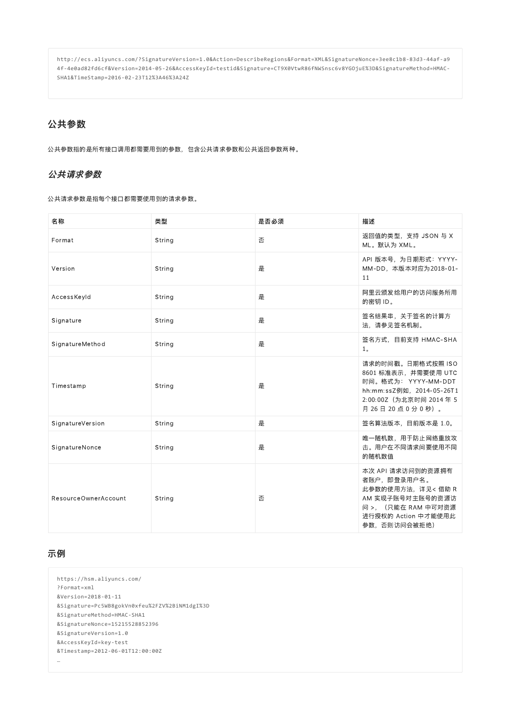http://ecs.aliyuncs.com/?SignatureVersion=1.0&Action=DescribeRegions&Format=XML&SignatureNonce=3ee8c1b8‐83d3‐44af‐a9 4f‐4e0ad82fd6cf&Version=2014‐05‐26&AccessKeyId=testid&Signature=CT9X0VtwR86fNWSnsc6v8YGOjuE%3D&SignatureMethod=HMAC‐ SHA1&TimeStamp=2016‐02‐23T12%3A46%3A24Z

## 公共参数

公共参数指的是所有接口调用都需要用到的参数,包含公共请求参数和公共返回参数两种。

## 公共请求参数

公共请求参数是指每个接口都需要使用到的请求参数。

| 名称                   | 类型     | 是否必须 | 描述                                                                                                                                       |
|----------------------|--------|------|------------------------------------------------------------------------------------------------------------------------------------------|
| Format               | String | 否    | 返回值的类型, 支持 JSON 与 X<br>ML。默认为 XML。                                                                                                       |
| Version              | String | 是    | API 版本号, 为日期形式: YYYY-<br>MM-DD, 本版本对应为2018-01-<br>11                                                                                     |
| AccessKeyId          | String | 是    | 阿里云颁发给用户的访问服务所用<br>的密钥 ID。                                                                                                               |
| Signature            | String | 是    | 签名结果串,关于签名的计算方<br>法,请参见签名机制。                                                                                                             |
| SignatureMethod      | String | 是    | 签名方式, 目前支持 HMAC-SHA<br>1 <sub>o</sub>                                                                                                    |
| Timestamp            | String | 是    | 请求的时间戳。日期格式按照 ISO<br>8601 标准表示, 并需要使用 UTC<br>时间。格式为: YYYY-MM-DDT<br>hh:mm:ssZ例如, 2014-05-26T1<br>2:00:00Z (为北京时间 2014年5<br>月26日20点0分0秒)。 |
| SignatureVersion     | String | 是    | 签名算法版本,目前版本是 1.0。                                                                                                                        |
| SignatureNonce       | String | 是    | 唯一随机数,用于防止网络重放攻<br>击。用户在不同请求间要使用不同<br>的随机数值                                                                                              |
| ResourceOwnerAccount | String | 否    | 本次 API 请求访问到的资源拥有<br>者账户,即登录用户名。<br>此参数的使用方法, 详见< 借助 R<br>AM 实现子账号对主账号的资源访<br>问 >, (只能在 RAM 中可对资源<br>进行授权的 Action 中才能使用此<br>参数,否则访问会被拒绝) |

## 示例

```
https://hsm.aliyuncs.com/
?Format=xml
&Version=2018‐01‐11
&Signature=Pc5WB8gokVn0xfeu%2FZV%2BiNM1dgI%3D
&SignatureMethod=HMAC‐SHA1
&SignatureNonce=15215528852396
&SignatureVersion=1.0
&AccessKeyId=key‐test
&Timestamp=2012‐06‐01T12:00:00Z
…
```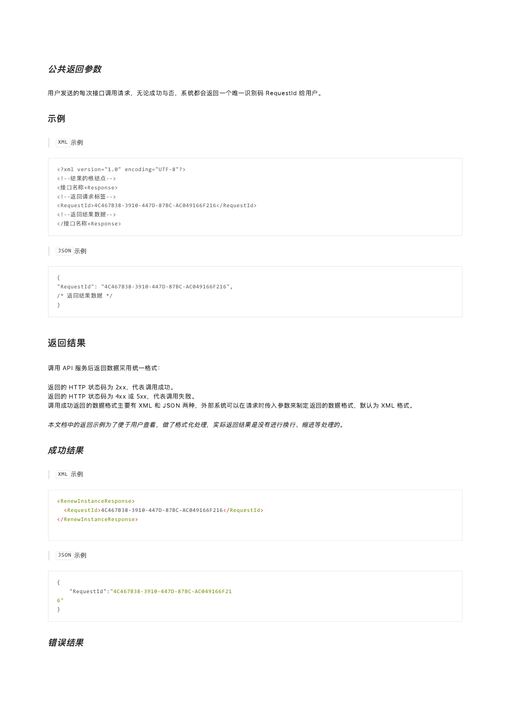## 公共返回参数

用户发送的每次接口调用请求,无论成功与否,系统都会返回一个唯一识别码 RequestId 给用户。

## 示例

XML 示例

```
<?xml version="1.0" encoding="UTF‐8"?>
<!‐‐结果的根结点‐‐>
<接口名称+Response>
<!‐‐返回请求标签‐‐>
<RequestId>4C467B38‐3910‐447D‐87BC‐AC049166F216</RequestId>
<!‐‐返回结果数据‐‐>
</接口名称+Response>
```
JSON 示例

```
{
"RequestId": "4C467B38‐3910‐447D‐87BC‐AC049166F216",
/* 返回结果数据 */
}
```
## 返回结果

调用 API 服务后返回数据采用统一格式:

返回的 HTTP 状态码为 2xx,代表调用成功。 返回的 HTTP 状态码为 4xx 或 5xx,代表调用失败。 调用成功返回的数据格式主要有 XML 和 JSON 两种,外部系统可以在请求时传入参数来制定返回的数据格式,默认为 XML 格式。

本文档中的返回示例为了便于用户查看,做了格式化处理,实际返回结果是没有进行换行、缩进等处理的。

#### 成功结果

XML 示例

```
<RenewInstanceResponse>
 <RequestId>4C467B38‐3910‐447D‐87BC‐AC049166F216</RequestId>
</RenewInstanceResponse>
```
JSON 示例

```
{
   "RequestId":"4C467B38‐3910‐447D‐87BC‐AC049166F21
6"
}
```
错误结果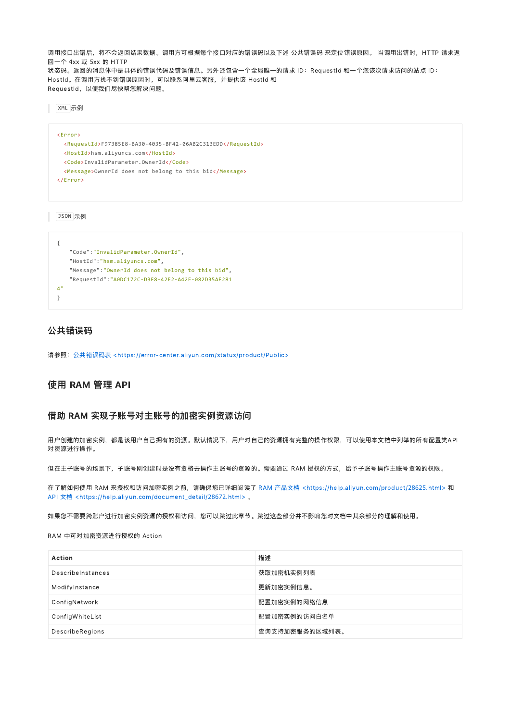调用接口出错后,将不会返回结果数据。调用方可根据每个接口对应的错误码以及下述 公共错误码 来定位错误原因。 当调用出错时,HTTP 请求返 回一个 4xx 或 5xx 的 HTTP 状态码。返回的消息体中是具体的错误代码及错误信息。另外还包含一个全局唯一的请求 ID: RequestId 和一个您该次请求访问的站点 ID: HostId。在调用方找不到错误原因时,可以联系阿里云客服,并提供该 HostId 和 RequestId, 以便我们尽快帮您解决问题。

XML 示例

```
<Error>
 <RequestId>F97385E8‐BA30‐4035‐BF42‐06AB2C313EDD</RequestId>
 <HostId>hsm.aliyuncs.com</HostId>
 <Code>InvalidParameter.OwnerId</Code>
 <Message>OwnerId does not belong to this bid</Message>
</Error>
```
JSON 示例

```
{
   "Code":"InvalidParameter.OwnerId",
   "HostId":"hsm.aliyuncs.com",
   "Message":"OwnerId does not belong to this bid",
   "RequestId":"A0DC172C‐D3F8‐42E2‐A42E‐082D35AF281
4"
}
```
#### 公共错误码

请参照: 公共错误码表 <https://error-center.aliyun.com/status/product/Public>

## 使用 RAM 管理 API

#### 借助 RAM 实现子账号对主账号的加密实例资源访问

用户创建的加密实例,都是该用户自己拥有的资源。默认情况下,用户对自己的资源拥有完整的操作权限,可以使用本文档中列举的所有配置类API 对资源进行操作。

但在主子账号的场景下,子账号刚创建时是没有资格去操作主账号的资源的。需要通过 RAM 授权的方式,给予子账号操作主账号资源的权限。

在了解如何使用 RAM 来授权和访问加密实例之前,请确保您已详细阅读了 RAM 产品文档 [<https://help.aliyun.com/product/](https://help.aliyun.com/product/28625.html)28625.html> 和 API 文档 [<https://help.aliyun.com/document\\_detail/](https://help.aliyun.com/document_detail/28672.html)28672.html> 。

如果您不需要跨账户进行加密实例资源的授权和访问,您可以跳过此章节。跳过这些部分并不影响您对文档中其余部分的理解和使用。

RAM 中可对加密资源进行授权的 Action

| <b>Action</b>     | 描述             |
|-------------------|----------------|
| DescribeInstances | 获取加密机实例列表      |
| ModifyInstance    | 更新加密实例信息。      |
| ConfigNetwork     | 配置加密实例的网络信息    |
| ConfigWhiteList   | 配置加密实例的访问白名单   |
| DescribeRegions   | 查询支持加密服务的区域列表。 |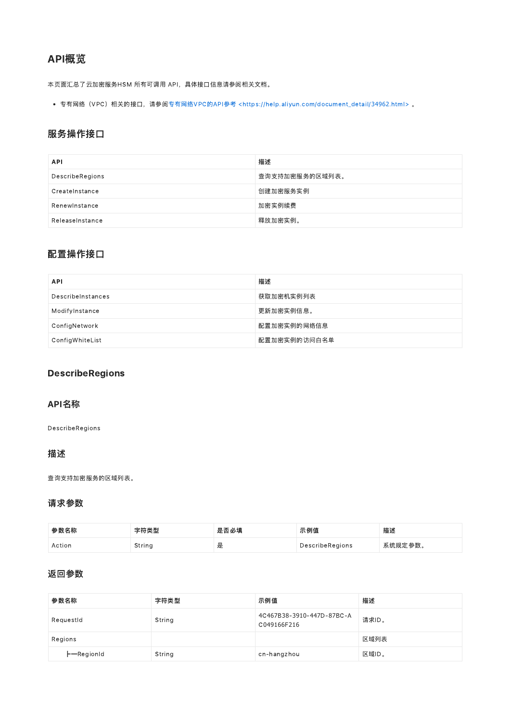# API概览

本页面汇总了云加密服务HSM 所有可调用 API,具体接口信息请参阅相关文档。

专有网络(VPC)相关的接口,请参阅专有网络VPC的API参考 [<https://help.aliyun.com/document\\_detail/](https://help.aliyun.com/document_detail/34962.html)34962.html> 。

## 服务操作接口

| <b>API</b>      | 描述             |
|-----------------|----------------|
| DescribeRegions | 查询支持加密服务的区域列表。 |
| CreateInstance  | 创建加密服务实例       |
| Renewinstance   | 加密实例续费         |
| ReleaseInstance | 释放加密实例。        |

## 配置操作接口

| <b>API</b>        | 描述           |
|-------------------|--------------|
| DescribeInstances | 获取加密机实例列表    |
| ModifyInstance    | 更新加密实例信息。    |
| ConfigNetwork     | 配置加密实例的网络信息  |
| ConfigWhiteList   | 配置加密实例的访问白名单 |

## DescribeRegions

## API名称

DescribeRegions

### 描述

查询支持加密服务的区域列表。

## 请求参数

| 参数名称   | 字符类型   | 是否必填 | 示例值             | 描述      |
|--------|--------|------|-----------------|---------|
| Action | String | ᇨ    | DescribeRegions | 系统规定参数。 |

## 返回参数

| 参数名称               | 字符类型   | 示例值                                      | 描述    |
|--------------------|--------|------------------------------------------|-------|
| RequestId          | String | 4C467B38-3910-447D-87BC-A<br>C049166F216 | 请求ID。 |
| Regions            |        |                                          | 区域列表  |
| $\vdash$ -RegionId | String | cn-hangzhou                              | 区域ID。 |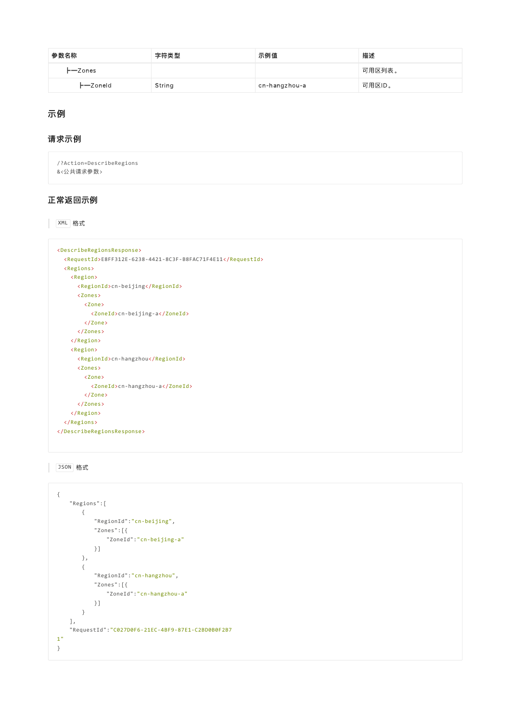| 参数名称       | 字符类型   | 示例值           | 描述     |
|------------|--------|---------------|--------|
| $-$ Zones  |        |               | 可用区列表。 |
| $-$ Zoneld | String | cn-hangzhou-a | 可用区ID。 |

## 示例

## 请求示例

/?Action=DescribeRegions &<公共请求参数>

## 正常返回示例

XML 格式

```
<DescribeRegionsResponse>
 <RequestId>E8FF312E‐6238‐4421‐8C3F‐B8FAC71F4E11</RequestId>
 <Regions>
   <Region>
     <RegionId>cn‐beijing</RegionId>
     <Zones>
       <Zone>
         <ZoneId>cn‐beijing‐a</ZoneId>
       </Zone>
     </Zones>
   </Region>
   <Region>
     <RegionId>cn‐hangzhou</RegionId>
     <Zones>
      <Zone>
         <ZoneId>cn‐hangzhou‐a</ZoneId>
       </Zone>
     </Zones>
   </Region>
 </Regions>
</DescribeRegionsResponse>
```
## JSON 格式

```
\{"Regions":[
      {
          "RegionId":"cn‐beijing",
          "Zones":[{
             "ZoneId":"cn‐beijing‐a"
          }]
      },
       {
          "RegionId":"cn‐hangzhou",
          "Zones":[{
              "ZoneId":"cn‐hangzhou‐a"
          }]
      }
   ],
   "RequestId":"C027D0F6‐21EC‐4BF9‐87E1‐C2BD0B0F2B7
1"
}
```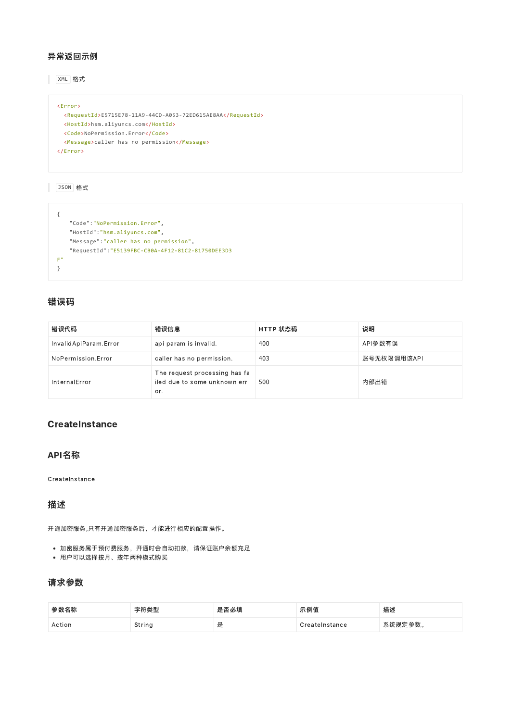#### 异常返回示例

XML 格式

```
<Error>
 <RequestId>E5715E78‐11A9‐44CD‐A053‐72ED615AE8AA</RequestId>
 <HostId>hsm.aliyuncs.com</HostId>
 <Code>NoPermission.Error</Code>
 <Message>caller has no permission</Message>
</Error>
```
JSON 格式

```
{
   "Code":"NoPermission.Error",
   "HostId":"hsm.aliyuncs.com",
   "Message":"caller has no permission",
   "RequestId":"E5139FBC‐CB0A‐4F12‐81C2‐81750DEE3D3
F"
}
```
## 错误码

| 错误代码                  | 错误信息                                                                 | HTTP 状态码 | 说明          |
|-----------------------|----------------------------------------------------------------------|----------|-------------|
| InvalidApiParam.Error | api param is invalid.                                                | 400      | API参数有误     |
| NoPermission.Error    | caller has no permission.                                            | 403      | 账号无权限调用该API |
| InternalError         | The request processing has fa<br>iled due to some unknown err<br>or. | 500      | 内部出错        |

### **CreateInstance**

#### API名称

**CreateInstance** 

## 描述

开通加密服务,只有开通加密服务后,才能进行相应的配置操作。

- 加密服务属于预付费服务,开通时会自动扣款,请保证账户余额充足
- 用户可以选择按月、按年两种模式购买

## 请求参数

| 参数名称   | 字符类型   | 是否必填 | 示例值            | 描述      |
|--------|--------|------|----------------|---------|
| Action | String | 是    | CreateInstance | 系统规定参数。 |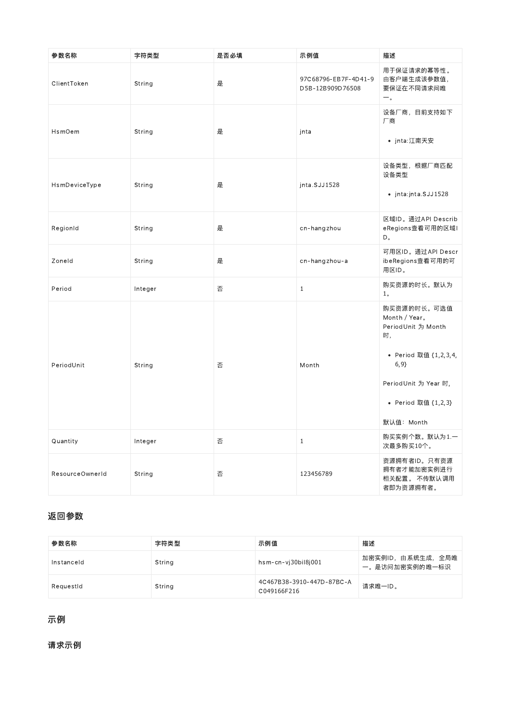| 参数名称            | 字符类型    | 是否必填 | 示例值                                      | 描述                                                                                                                                                     |
|-----------------|---------|------|------------------------------------------|--------------------------------------------------------------------------------------------------------------------------------------------------------|
| ClientToken     | String  | 是    | 97C68796-EB7F-4D41-9<br>D5B-12B909D76508 | 用于保证请求的幂等性。<br>由客户端生成该参数值,<br>要保证在不同请求间唯<br>$-$ .                                                                                                      |
| HsmOem          | String  | 是    | jnta                                     | 设备厂商, 目前支持如下<br>厂商<br>• jnta:江南天安                                                                                                                      |
| HsmDeviceType   | String  | 是    | jnta.SJJ1528                             | 设备类型, 根据厂商匹配<br>设备类型<br>• jnta:jnta.SJJ1528                                                                                                            |
| RegionId        | String  | 是    | cn-hangzhou                              | 区域ID。通过API Describ<br>eRegions查看可用的区域I<br>$\mathsf D$ .                                                                                                |
| Zoneld          | String  | 是    | cn-hangzhou-a                            | 可用区ID。通过API Descr<br>ibeRegions查看可用的可<br>用区ID。                                                                                                         |
| Period          | Integer | 否    | $1\,$                                    | 购买资源的时长。默认为<br>1 <sub>o</sub>                                                                                                                          |
| PeriodUnit      | String  | 否    | Month                                    | 购买资源的时长。可选值<br>Month / Year.<br>PeriodUnit 为 Month<br>时,<br>• Period 取值 {1,2,3,4,<br>6, 9<br>PeriodUnit 为 Year 时,<br>• Period 取值 {1,2,3}<br>默认值: Month |
| Quantity        | Integer | 否    | $\mathbf{1}$                             | 购买实例个数。默认为1.一<br>次最多购买10个。                                                                                                                             |
| ResourceOwnerId | String  | 否    | 123456789                                | 资源拥有者ID。只有资源<br>拥有者才能加密实例进行<br>相关配置。 不传默认调用<br>者即为资源拥有者。                                                                                               |

# 返回参数

| 参数名称       | 字符类型   | 示例值                                      | 描述                                 |
|------------|--------|------------------------------------------|------------------------------------|
| Instanceld | String | hsm-cn-vi30bil8i001                      | 加密实例ID,由系统生成,全局唯<br>一。是访问加密实例的唯一标识 |
| RequestId  | String | 4C467B38-3910-447D-87BC-A<br>C049166F216 | 请求唯一ID。                            |

# 示例

请求示例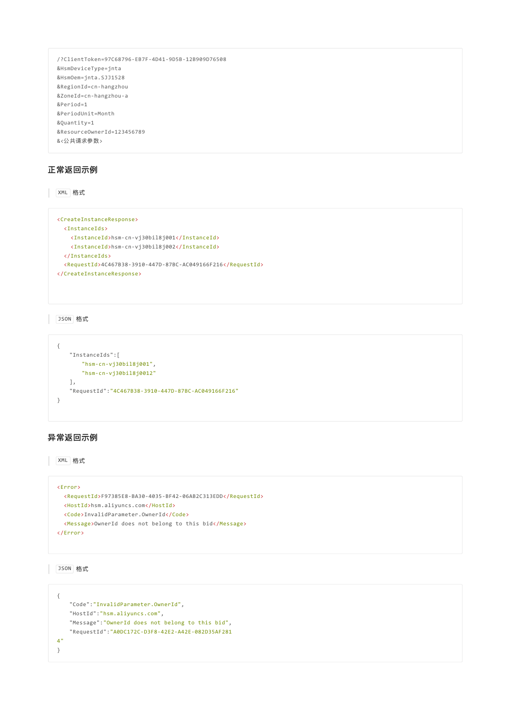```
/?ClientToken=97C68796‐EB7F‐4D41‐9D5B‐12B909D76508
&HsmDeviceType=jnta
&HsmOem=jnta.SJJ1528
&RegionId=cn‐hangzhou
&ZoneId=cn‐hangzhou‐a
&Period=1
&PeriodUnit=Month
&Quantity=1
&ResourceOwnerId=123456789
&<公共请求参数>
```
#### 正常返回示例

XML 格式

```
<CreateInstanceResponse>
 <InstanceIds>
   <InstanceId>hsm‐cn‐vj30bil8j001</InstanceId>
   <InstanceId>hsm‐cn‐vj30bil8j002</InstanceId>
 </InstanceIds>
 <RequestId>4C467B38‐3910‐447D‐87BC‐AC049166F216</RequestId>
</CreateInstanceResponse>
```
JSON 格式

```
{
   "InstanceIds":[
       "hsm‐cn‐vj30bil8j001",
       "hsm‐cn‐vj30bil8j0012"
   ],
   "RequestId":"4C467B38‐3910‐447D‐87BC‐AC049166F216"
}
```
#### 异常返回示例

XML 格式

```
<Error>
 <RequestId>F97385E8‐BA30‐4035‐BF42‐06AB2C313EDD</RequestId>
 <HostId>hsm.aliyuncs.com</HostId>
 <Code>InvalidParameter.OwnerId</Code>
 <Message>OwnerId does not belong to this bid</Message>
</Error>
```
JSON 格式

```
{
   "Code":"InvalidParameter.OwnerId",
   "HostId":"hsm.aliyuncs.com",
   "Message":"OwnerId does not belong to this bid",
   "RequestId":"A0DC172C‐D3F8‐42E2‐A42E‐082D35AF281
4"
}
```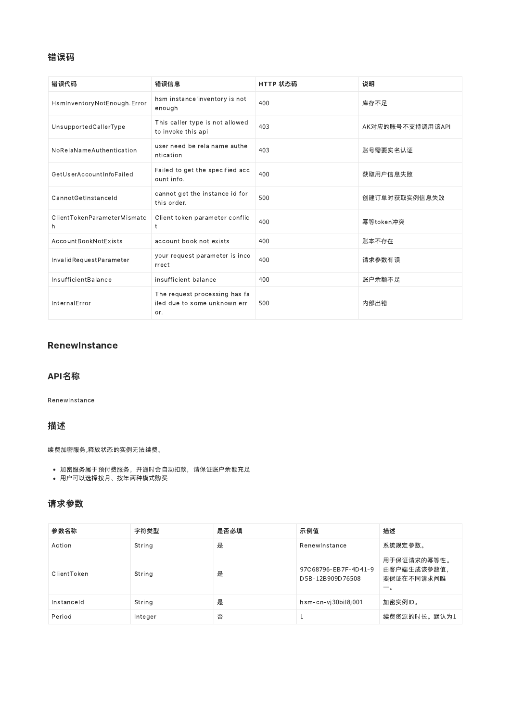## 错误码

| 错误代码                             | 错误信息                                                                 | HTTP 状态码 | 说明               |
|----------------------------------|----------------------------------------------------------------------|----------|------------------|
| HsmlnventoryNotEnough.Error      | hsm instance'inventory is not<br>enough                              | 400      | 库存不足             |
| UnsupportedCallerType            | This caller type is not allowed<br>to invoke this api                | 403      | AK对应的账号不支持调用该API |
| NoRelaNameAuthentication         | user need be rela name authe<br>ntication                            | 403      | 账号需要实名认证         |
| GetUserAccountInfoFailed         | Failed to get the specified acc<br>ount info.                        | 400      | 获取用户信息失败         |
| CannotGetInstanceId              | cannot get the instance id for<br>this order.                        | 500      | 创建订单时获取实例信息失败    |
| ClientTokenParameterMismatc<br>h | Client token parameter conflic<br>$\ddagger$                         | 400      | 幂等token冲突        |
| AccountBookNotExists             | account book not exists                                              | 400      | 账本不存在            |
| InvalidRequestParameter          | your request parameter is inco<br>rrect                              | 400      | 请求参数有误           |
| InsufficientBalance              | insufficient balance                                                 | 400      | 账户余额不足           |
| InternalError                    | The request processing has fa<br>iled due to some unknown err<br>or. | 500      | 内部出错             |

## **RenewInstance**

#### API名称

RenewInstance

## 描述

续费加密服务,释放状态的实例无法续费。

- 加密服务属于预付费服务,开通时会自动扣款,请保证账户余额充足
- 用户可以选择按月、按年两种模式购买

#### 请求参数

| 参数名称        | 字符类型    | 是否必填 | 示例值                                      | 描述                                       |
|-------------|---------|------|------------------------------------------|------------------------------------------|
| Action      | String  | 是    | Renewinstance                            | 系统规定参数。                                  |
| ClientToken | String  | 是    | 97C68796-EB7F-4D41-9<br>D5B-12B909D76508 | 用于保证请求的幂等性。<br>由客户端生成该参数值,<br>要保证在不同请求间唯 |
| Instanceld  | String  | 是    | hsm-cn-vj30bil8j001                      | 加密实例ID。                                  |
| Period      | Integer | 否    | 1                                        | 续费资源的时长。默认为1                             |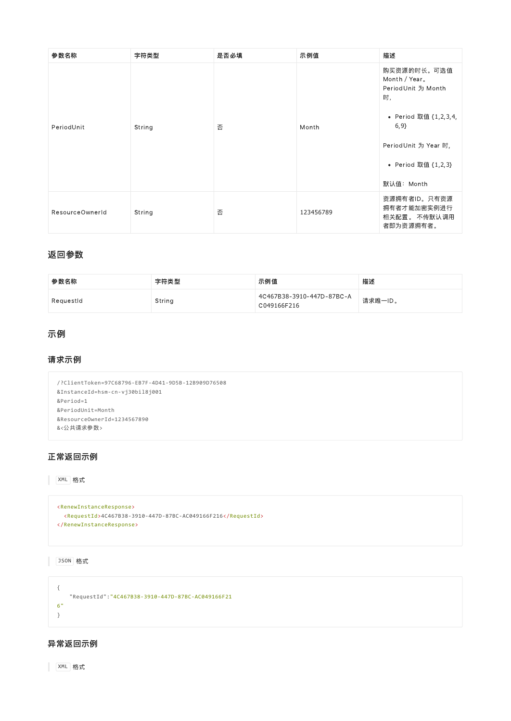| 参数名称            | 字符类型   | 是否必填 | 示例值       | 描述                                                                                                                                                     |
|-----------------|--------|------|-----------|--------------------------------------------------------------------------------------------------------------------------------------------------------|
| PeriodUnit      | String | 否    | Month     | 购买资源的时长。可选值<br>Month / Year.<br>PeriodUnit 为 Month<br>时,<br>• Period 取值 {1,2,3,4,<br>6, 9<br>PeriodUnit 为 Year 时,<br>• Period 取值 {1,2,3}<br>默认值: Month |
| ResourceOwnerId | String | 否    | 123456789 | 资源拥有者ID。只有资源<br>拥有者才能加密实例进行<br>相关配置。 不传默认调用<br>者即为资源拥有者。                                                                                               |

#### 返回参数

| 参数名称      | 字符类型   | 示例值                                      | 描述      |
|-----------|--------|------------------------------------------|---------|
| RequestId | String | 4C467B38-3910-447D-87BC-A<br>C049166F216 | 请求唯一ID。 |

## 示例

#### 请求示例

```
/?ClientToken=97C68796‐EB7F‐4D41‐9D5B‐12B909D76508
&InstanceId=hsm‐cn‐vj30bil8j001
&Period=1
&PeriodUnit=Month
&ResourceOwnerId=1234567890
&<公共请求参数>
```
## 正常返回示例

XML 格式

```
<RenewInstanceResponse>
 <RequestId>4C467B38‐3910‐447D‐87BC‐AC049166F216</RequestId>
</RenewInstanceResponse>
```
JSON 格式

{ "RequestId":"4C467B38‐3910‐447D‐87BC‐AC049166F21 6" }

## 异常返回示例

XML 格式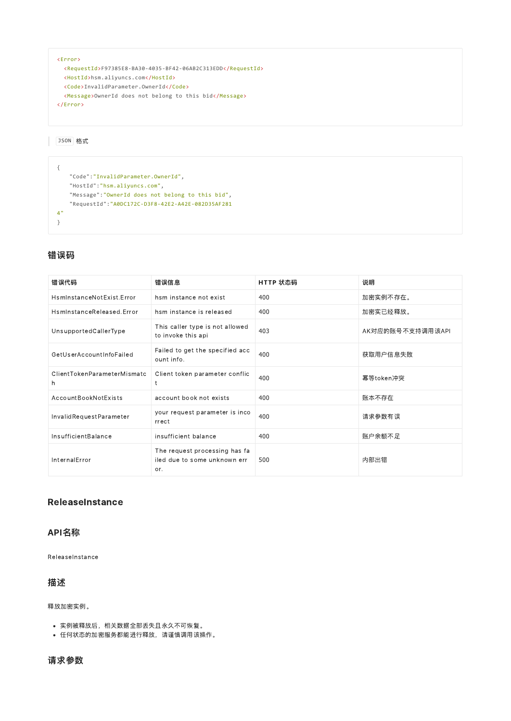```
<Error>
 <RequestId>F97385E8‐BA30‐4035‐BF42‐06AB2C313EDD</RequestId>
 <HostId>hsm.aliyuncs.com</HostId>
 <Code>InvalidParameter.OwnerId</Code>
 <Message>OwnerId does not belong to this bid</Message>
</Error>
```
JSON 格式

```
{
   "Code":"InvalidParameter.OwnerId",
   "HostId":"hsm.aliyuncs.com",
   "Message":"OwnerId does not belong to this bid",
   "RequestId":"A0DC172C‐D3F8‐42E2‐A42E‐082D35AF281
4"}
```
## 错误码

| 错误代码                             | 错误信息                                                                 | HTTP 状态码 | 说明               |
|----------------------------------|----------------------------------------------------------------------|----------|------------------|
| HsminstanceNotExist.Frror        | hsm instance not exist                                               | 400      | 加密实例不存在。         |
| HsminstanceReleased.Error        | hsm instance is released                                             | 400      | 加密实已经释放。         |
| UnsupportedCallerType            | This caller type is not allowed<br>to invoke this api                | 403      | AK对应的账号不支持调用该API |
| GetUserAccountInfoFailed         | Failed to get the specified acc<br>ount info.                        | 400      | 获取用户信息失败         |
| ClientTokenParameterMismatc<br>h | Client token parameter conflic<br>t                                  | 400      | 幂等token冲突        |
| AccountBookNotExists             | account book not exists                                              | 400      | 账本不存在            |
| InvalidRequestParameter          | your request parameter is inco<br>rrect                              | 400      | 请求参数有误           |
| InsufficientBalance              | insufficient balance                                                 | 400      | 账户余额不足           |
| InternalError                    | The request processing has fa<br>iled due to some unknown err<br>or. | 500      | 内部出错             |

#### **ReleaseInstance**

## API名称

ReleaseInstance

## 描述

释放加密实例。

- 实例被释放后,相关数据全部丢失且永久不可恢复。
- 任何状态的加密服务都能进行释放,请谨慎调用该操作。

#### 请求参数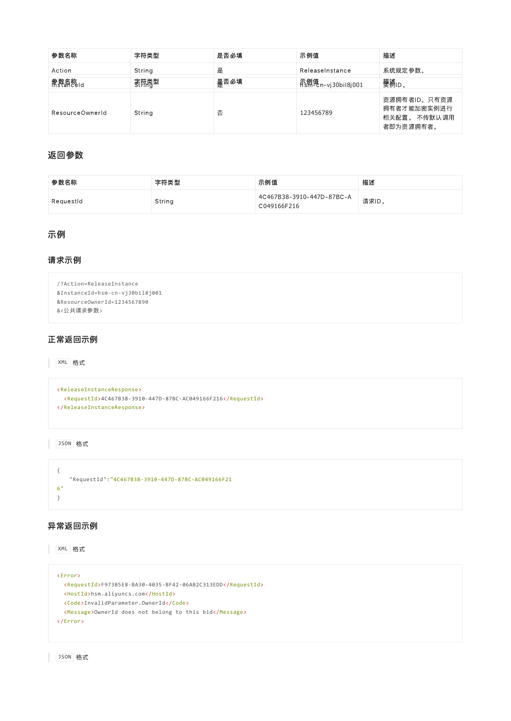| 参数名称            | 字符类型   | 是否必填 | 示例值             | 描述                                                       |
|-----------------|--------|------|-----------------|----------------------------------------------------------|
| Action          | String | 是    | ReleaseInstance | 系统规定参数。                                                  |
| 熱数名称 Id         | 家符券型   | 是否必填 |                 | 樊襔□。                                                     |
| ResourceOwnerId | String | 否    | 123456789       | 资源拥有者ID。只有资源<br>拥有者才能加密实例进行<br>相关配置。 不传默认调用<br>者即为资源拥有者。 |

## 返回参数

| 参数名称      | 字符类型   | 示例值                                      | 描述    |
|-----------|--------|------------------------------------------|-------|
| ReauestId | String | 4C467B38-3910-447D-87BC-A<br>C049166F216 | 请求ID。 |

## 示例

#### 请求示例

```
/?Action=ReleaseInstance
&InstanceId=hsm‐cn‐vj30bil8j001
&ResourceOwnerId=1234567890
&<公共请求参数>
```
## 正常返回示例

XML 格式

```
<ReleaseInstanceResponse>
 <RequestId>4C467B38‐3910‐447D‐87BC‐AC049166F216</RequestId>
</ReleaseInstanceResponse>
```
JSON 格式

```
{
   "RequestId":"4C467B38‐3910‐447D‐87BC‐AC049166F21
6"
}
```
## 异常返回示例

XML 格式

```
<Error>
 <RequestId>F97385E8‐BA30‐4035‐BF42‐06AB2C313EDD</RequestId>
 <HostId>hsm.aliyuncs.com</HostId>
<Code>InvalidParameter.OwnerId</Code>
 <Message>OwnerId does not belong to this bid</Message>
</Error>
```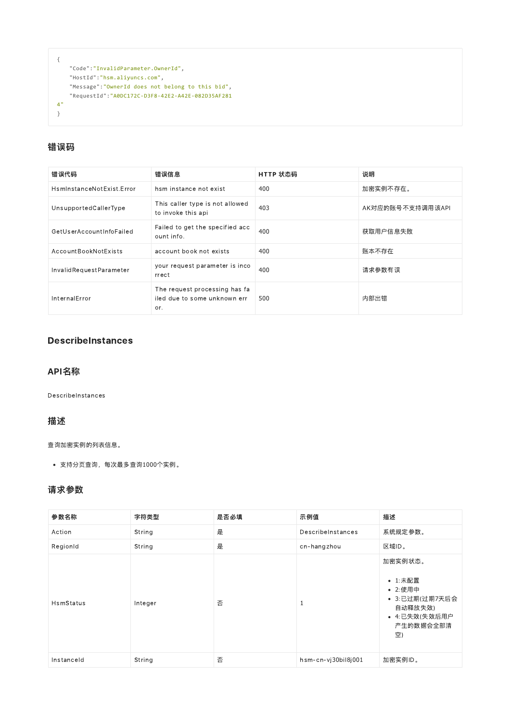```
{
   "Code":"InvalidParameter.OwnerId",
   "HostId":"hsm.aliyuncs.com",
   "Message":"OwnerId does not belong to this bid",
   "RequestId":"A0DC172C‐D3F8‐42E2‐A42E‐082D35AF281
4"
}
```
## 错误码

| 错误代码                      | 错误信息                                                                 | HTTP 状态码 | 说明               |
|---------------------------|----------------------------------------------------------------------|----------|------------------|
| HsminstanceNotExist.Error | hsm instance not exist                                               | 400      | 加密实例不存在。         |
| UnsupportedCallerType     | This caller type is not allowed<br>to invoke this api                | 403      | AK对应的账号不支持调用该API |
| GetUserAccountInfoFailed  | Failed to get the specified acc<br>ount info.                        | 400      | 获取用户信息失败         |
| AccountBookNotExists      | account book not exists                                              | 400      | 账本不存在            |
| InvalidRequestParameter   | your request parameter is inco<br>rrect                              | 400      | 请求参数有误           |
| InternalError             | The request processing has fa<br>iled due to some unknown err<br>or. | 500      | 内部出错             |

## **DescribeInstances**

## API名称

DescribeInstances

### 描述

查询加密实例的列表信息。

支持分页查询,每次最多查询1000个实例。

## 请求参数

| 参数名称       | 字符类型    | 是否必填 | 示例值                 | 描述                                                                                             |
|------------|---------|------|---------------------|------------------------------------------------------------------------------------------------|
| Action     | String  | 是    | DescribeInstances   | 系统规定参数。                                                                                        |
| RegionId   | String  | 是    | cn-hangzhou         | 区域ID。                                                                                          |
| HsmStatus  | Integer | 否    | 1                   | 加密实例状态。<br>• 1:未配置<br>• 2:使用中<br>• 3:已过期(过期7天后会<br>自动释放失效)<br>• 4:已失效(失效后用户<br>产生的数据会全部清<br>空) |
| Instanceld | String  | 否    | hsm-cn-vj30bil8j001 | 加密实例ID。                                                                                        |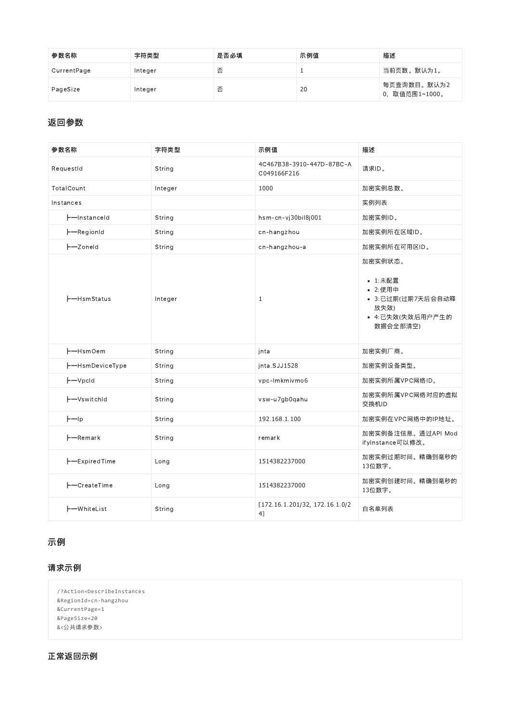| 参数名称        | 字符类型    | 是否必填 | 示例值 | 描述                            |
|-------------|---------|------|-----|-------------------------------|
| CurrentPage | Integer | 否    |     | 当前页数。默认为1。                    |
| PageSize    | Integer | 否    | 20  | 每页查询数目。默认为2<br>0, 取值范围1~1000。 |

## 返回参数

| 参数名称                           | 字符类型    | 示例值                                      | 描述                                                                                         |
|--------------------------------|---------|------------------------------------------|--------------------------------------------------------------------------------------------|
| RequestId                      | String  | 4C467B38-3910-447D-87BC-A<br>C049166F216 | 请求ID。                                                                                      |
| TotalCount                     | Integer | 1000                                     | 加密实例总数。                                                                                    |
| Instances                      |         |                                          | 实例列表                                                                                       |
| -Instanceld                    | String  | hsm-cn-vj30bil8j001                      | 加密实例ID。                                                                                    |
| -RegionId                      | String  | cn-hangzhou                              | 加密实例所在区域ID。                                                                                |
| $-$ Zoneld                     | String  | cn-hangzhou-a                            | 加密实例所在可用区ID。                                                                               |
| --HsmStatus                    | Integer | $\mathbf{1}$                             | 加密实例状态。<br>• 1:未配置<br>• 2:使用中<br>• 3:已过期(过期7天后会自动释<br>放失效)<br>• 4:已失效(失效后用户产生的<br>数据会全部清空) |
| H-HsmOem                       | String  | jnta                                     | 加密实例厂商。                                                                                    |
| -HsmDeviceType                 | String  | inta.SJJ1528                             | 加密实例设备类型。                                                                                  |
| $\vdash\hspace{-1.5mm}-$ VpcId | String  | vpc-lmkmivmo6                            | 加密实例所属VPC网络ID。                                                                             |
| +-VswitchId                    | String  | vsw-u7gb0qahu                            | 加密实例所属VPC网络对应的虚拟<br>交换机ID                                                                  |
| $H - Ip$                       | String  | 192.168.1.100                            | 加密实例在VPC网络中的IP地址。                                                                          |
| $-$ Remark                     | String  | remark                                   | 加密实例备注信息。通过API Mod<br>ifyInstance可以修改。                                                     |
| <b>H-ExpiredTime</b>           | Long    | 1514382237000                            | 加密实例过期时间。精确到毫秒的<br>13位数字。                                                                  |
| -CreateTime                    | Long    | 1514382237000                            | 加密实例创建时间。精确到毫秒的<br>13位数字。                                                                  |
| <b>H</b> -WhiteList            | String  | [172.16.1.201/32, 172.16.1.0/2<br>4]     | 白名单列表                                                                                      |

## 示例

## 请求示例

```
/?Action=DescribeInstances
&RegionId=cn‐hangzhou
&CurrentPage=1
&PageSize=20
&<公共请求参数>
```
## 正常返回示例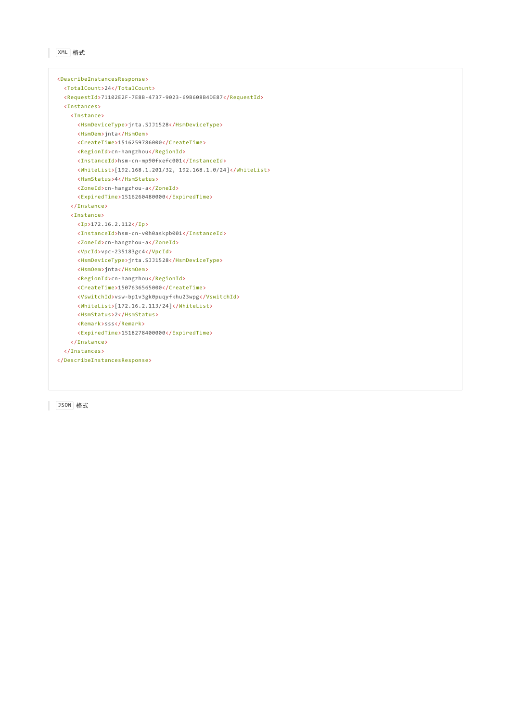```
XML 格式
```

```
<DescribeInstancesResponse>
 <TotalCount>24</TotalCount>
 <RequestId>71102E2F‐7E8B‐4737‐9023‐69B608B4DE87</RequestId>
 <Instances>
   <Instance>
     <HsmDeviceType>jnta.SJJ1528</HsmDeviceType>
     <HsmOem>jnta</HsmOem>
     <CreateTime>1516259786000</CreateTime>
     <RegionId>cn‐hangzhou</RegionId>
     <InstanceId>hsm‐cn‐mp90fxefc001</InstanceId>
     <WhiteList>[192.168.1.201/32, 192.168.1.0/24]</WhiteList>
     <HsmStatus>4</HsmStatus>
     <ZoneId>cn‐hangzhou‐a</ZoneId>
     <ExpiredTime>1516260480000</ExpiredTime>
   </Instance>
   <Instance>
     <Ip>172.16.2.112</Ip>
     <InstanceId>hsm‐cn‐v0h0askpb001</InstanceId>
     <ZoneId>cn‐hangzhou‐a</ZoneId>
     <VpcId>vpc‐235183gc4</VpcId>
     <HsmDeviceType>jnta.SJJ1528</HsmDeviceType>
     <HsmOem>jnta</HsmOem>
     <RegionId>cn‐hangzhou</RegionId>
     <CreateTime>1507636565000</CreateTime>
     <VswitchId>vsw‐bp1v3gk0puqyfkhu23wpg</VswitchId>
     <WhiteList>[172.16.2.113/24]</WhiteList>
     <HsmStatus>2</HsmStatus>
     <Remark>sss</Remark>
     <ExpiredTime>1518278400000</ExpiredTime>
   </Instance>
  </Instances>
</DescribeInstancesResponse>
```
JSON 格式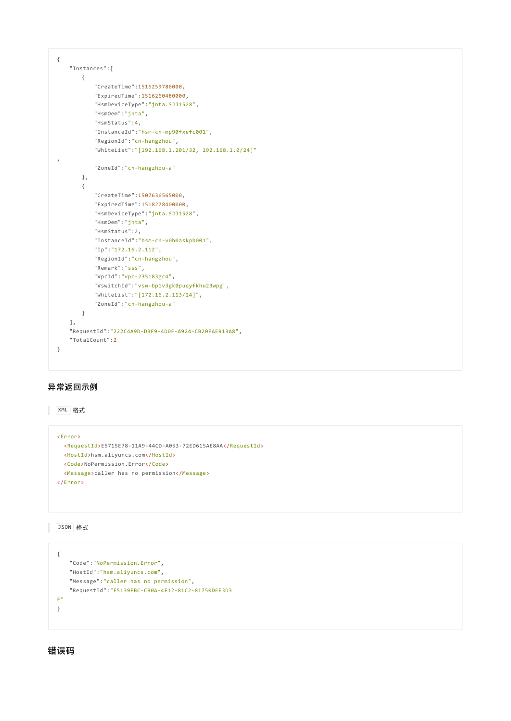```
{
   "Instances":[
      {
           "CreateTime":1516259786000,
          "ExpiredTime":1516260480000,
          "HsmDeviceType":"jnta.SJJ1528",
          "HsmOem":"jnta",
          "HsmStatus":4,
          "InstanceId":"hsm‐cn‐mp90fxefc001",
          "RegionId":"cn‐hangzhou",
           "WhiteList":"[192.168.1.201/32, 192.168.1.0/24]"
,
          "ZoneId":"cn‐hangzhou‐a"
      },
       {
          "CreateTime":1507636565000,
          "ExpiredTime":1518278400000,
          "HsmDeviceType":"jnta.SJJ1528",
          "HsmOem":"jnta",
           "HsmStatus":2,
           "InstanceId":"hsm‐cn‐v0h0askpb001",
           "Ip":"172.16.2.112",
           "RegionId":"cn‐hangzhou",
          "Remark":"sss",
          "VpcId":"vpc‐235183gc4",
          "VswitchId":"vsw‐bp1v3gk0puqyfkhu23wpg",
          "WhiteList":"[172.16.2.113/24]",
           "ZoneId":"cn‐hangzhou‐a"
      }
   ],
   "RequestId":"222C4A9D‐D3F9‐4D0F‐A924‐CB20FAE913A8",
   "TotalCount":2
}
```
### 异常返回示例

XML 格式

```
<Error>
<RequestId>E5715E78‐11A9‐44CD‐A053‐72ED615AE8AA</RequestId>
 <HostId>hsm.aliyuncs.com</HostId>
<Code>NoPermission.Error</Code>
 <Message>caller has no permission</Message>
</Error>
```
JSON 格式

```
{
   "Code":"NoPermission.Error",
   "HostId":"hsm.aliyuncs.com",
   "Message":"caller has no permission",
   "RequestId":"E5139FBC‐CB0A‐4F12‐81C2‐81750DEE3D3
F"
}
```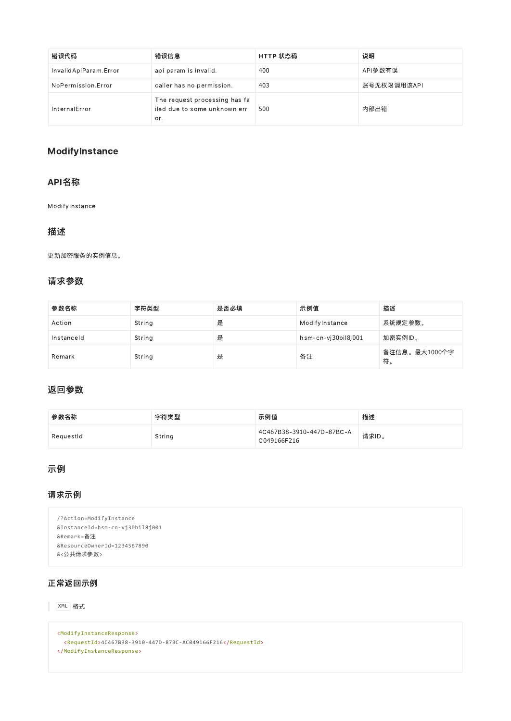| 错误代码                  | 错误信息                                                                 | HTTP 状态码 | 说明          |
|-----------------------|----------------------------------------------------------------------|----------|-------------|
| InvalidApiParam.Error | api param is invalid.                                                | 400      | API参数有误     |
| NoPermission.Error    | caller has no permission.                                            | 403      | 账号无权限调用该API |
| InternalError         | The request processing has fa<br>iled due to some unknown err<br>or. | 500      | 内部出错        |

## ModifyInstance

## API名称

ModifyInstance

## 描述

更新加密服务的实例信息。

## 请求参数

| 参数名称       | 字符类型   | 是否必填 | 示例值                 | 描述                  |
|------------|--------|------|---------------------|---------------------|
| Action     | String | 是    | ModifyInstance      | 系统规定参数。             |
| Instanceld | String | 是    | hsm-cn-vj30bil8j001 | 加密实例ID。             |
| Remark     | String | 是    | 备注                  | 备注信息。最大1000个字<br>符。 |

## 返回参数

| 参数名称      | 字符类型   | 示例值                                      | 描述    |
|-----------|--------|------------------------------------------|-------|
| ReauestId | String | 4C467B38-3910-447D-87BC-A<br>C049166F216 | 请求ID。 |

## 示例

## 请求示例

| /?Action=ModifyInstance         |
|---------------------------------|
| &InstanceId=hsm-cn-vj30bil8j001 |
| &Remark=备注                      |
| &ResourceOwnerId=1234567890     |
| &<公共请求参数>                       |

## 正常返回示例

XML 格式

```
<ModifyInstanceResponse>
 <RequestId>4C467B38‐3910‐447D‐87BC‐AC049166F216</RequestId>
</ModifyInstanceResponse>
```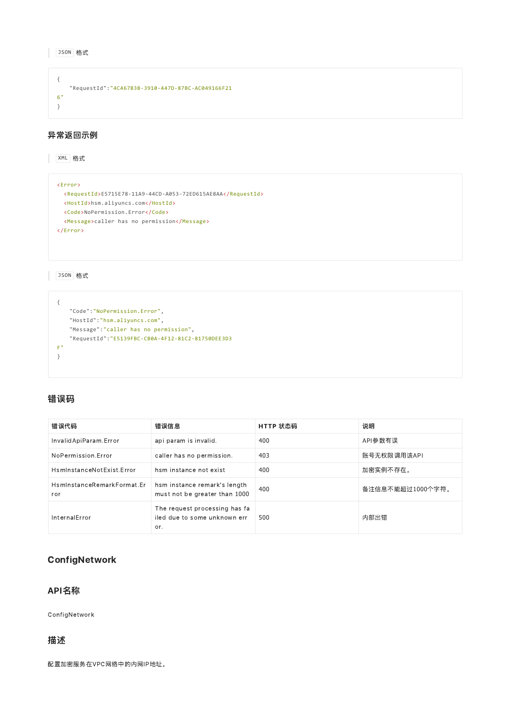```
{
   "RequestId":"4C467B38‐3910‐447D‐87BC‐AC049166F21
6"
}
```
## 异常返回示例

XML 格式

#### <Error>

```
<RequestId>E5715E78‐11A9‐44CD‐A053‐72ED615AE8AA</RequestId>
 <HostId>hsm.aliyuncs.com</HostId>
 <Code>NoPermission.Error</Code>
 <Message>caller has no permission</Message>
</Error>
```
JSON 格式

```
{
   "Code":"NoPermission.Error",
   "HostId":"hsm.aliyuncs.com",
   "Message":"caller has no permission",
   "RequestId":"E5139FBC‐CB0A‐4F12‐81C2‐81750DEE3D3
F"
}
```
### 错误码

| 错误代码                              | 错误信息                                                                 | HTTP 状态码 | 说明               |
|-----------------------------------|----------------------------------------------------------------------|----------|------------------|
| InvalidApiParam.Error             | api param is invalid.                                                | 400      | API参数有误          |
| NoPermission.Error                | caller has no permission.                                            | 403      | 账号无权限调用该API      |
| HsminstanceNotExist.Error         | hsm instance not exist                                               | 400      | 加密实例不存在。         |
| HsminstanceRemarkFormat.Er<br>ror | hsm instance remark's length<br>must not be greater than 1000        | 400      | 备注信息不能超过1000个字符。 |
| InternalError                     | The request processing has fa<br>iled due to some unknown err<br>or. | 500      | 内部出错             |

## **ConfigNetwork**

## API名称

ConfigNetwork

#### 描述

配置加密服务在VPC网络中的内网IP地址。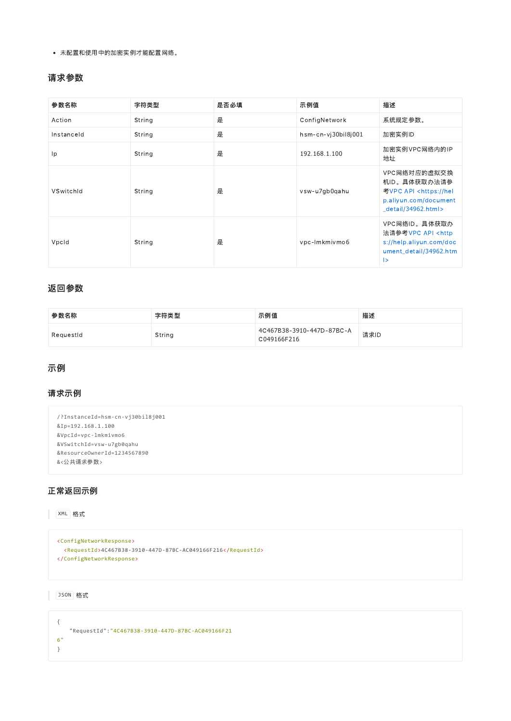未配置和使用中的加密实例才能配置网络。

#### 请求参数

| 参数名称       | 字符类型   | 是否必填 | 示例值                 | 描述                                                                                                                  |
|------------|--------|------|---------------------|---------------------------------------------------------------------------------------------------------------------|
| Action     | String | 是    | ConfigNetwork       | 系统规定参数。                                                                                                             |
| Instanceld | String | 是    | hsm-cn-vj30bil8j001 | 加密实例ID                                                                                                              |
| Ip         | String | 是    | 192.168.1.100       | 加密实例VPC网络内的IP<br>地址                                                                                                 |
| VSwitchId  | String | 是    | vsw-u7gb0gahu       | VPC网络对应的虚拟交换<br>机ID。具体获取办法请参<br>考VPC API <https: hel<br="">p.aliyun.com/document<br/>detail/34962.html&gt;</https:> |
| Vpcld      | String | 是    | vpc-lmkmivmo6       | VPC网络ID。具体获取办<br>法请参考VPC API <http<br>s://help.aliyun.com/doc<br/>ument_detail/34962.htm<br/>l&gt;</http<br>        |

#### 返回参数

| 参数名称      | 字符类型   | 示例值                                      | 描述   |
|-----------|--------|------------------------------------------|------|
| ReguestId | String | 4C467B38-3910-447D-87BC-A<br>C049166F216 | 请求ID |

## 示例

## 请求示例

```
/?InstanceId=hsm‐cn‐vj30bil8j001
&Ip=192.168.1.100
&VpcId=vpc‐lmkmivmo6
&VSwitchId=vsw‐u7gb0qahu
&ResourceOwnerId=1234567890
&<公共请求参数>
```
## 正常返回示例

#### XML 格式

```
<ConfigNetworkResponse>
 <RequestId>4C467B38‐3910‐447D‐87BC‐AC049166F216</RequestId>
</ConfigNetworkResponse>
```
#### JSON 格式

{ "RequestId":"4C467B38‐3910‐447D‐87BC‐AC049166F21 6" }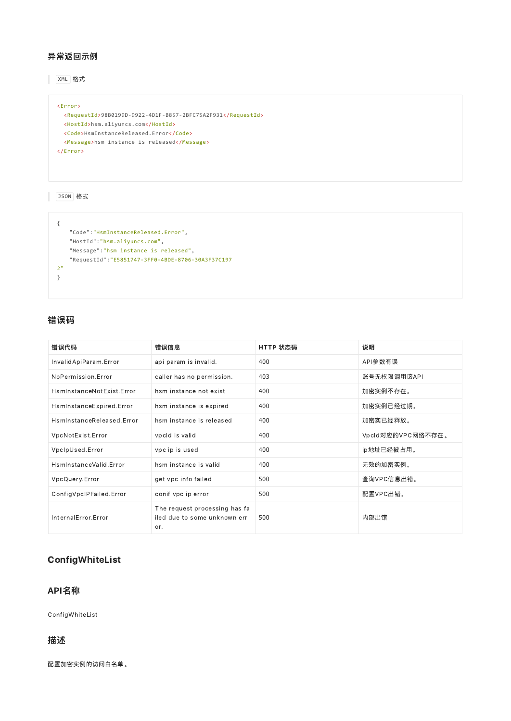#### 异常返回示例

XML 格式

```
<Error>
 <RequestId>98B0199D‐9922‐4D1F‐B857‐2BFC75A2F931</RequestId>
 <HostId>hsm.aliyuncs.com</HostId>
 <Code>HsmInstanceReleased.Error</Code>
 <Message>hsm instance is released</Message>
</Error>
```
JSON 格式

```
{
   "Code":"HsmInstanceReleased.Error",
   "HostId":"hsm.aliyuncs.com",
   "Message":"hsm instance is released",
   "RequestId":"E5851747‐3FF0‐4BDE‐8706‐30A3F37C197
2"
}
```
## 错误码

| 错误代码                      | 错误信息                                                                 | HTTP 状态码 | 说明                |
|---------------------------|----------------------------------------------------------------------|----------|-------------------|
| InvalidApiParam.Error     | api param is invalid.                                                | 400      | API参数有误           |
| NoPermission Frror        | caller has no permission.                                            | 403      | 账号无权限调用该API       |
| HsminstanceNotExist.Error | hsm instance not exist                                               | 400      | 加密实例不存在。          |
| HsminstanceExpired.Error  | hsm instance is expired                                              | 400      | 加密实例已经过期。         |
| HsminstanceReleased.Frror | hsm instance is released                                             | 400      | 加密实已经释放。          |
| VpcNotExist.Error         | vpcld is valid                                                       | 400      | Vpcld对应的VPC网络不存在。 |
| VpcIpUsed.Error           | vpc ip is used                                                       | 400      | ip地址已经被占用。        |
| HsmInstanceValid.Error    | hsm instance is valid                                                | 400      | 无效的加密实例。          |
| VpcQuery.Error            | get vpc info failed                                                  | 500      | 查询VPC信息出错。        |
| ConfigVpcIPFailed.Error   | conif vpc ip error                                                   | 500      | 配置VPC出错。          |
| InternalError.Error       | The request processing has fa<br>iled due to some unknown err<br>or. | 500      | 内部出错              |

# ConfigWhiteList

## API名称

ConfigWhiteList

#### 描述

配置加密实例的访问白名单。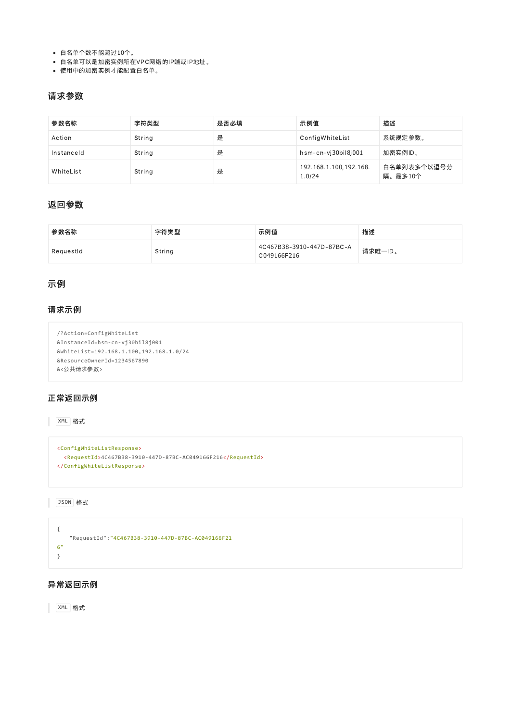- 白名单个数不能超过10个。
- 白名单可以是加密实例所在VPC网络的IP端或IP地址。
- 使用中的加密实例才能配置白名单。

## 请求参数

| 参数名称       | 字符类型   | 是否必填 | 示例值                              | 描述                     |
|------------|--------|------|----------------------------------|------------------------|
| Action     | String | 是    | ConfigWhiteList                  | 系统规定参数。                |
| Instanceld | String | 是    | hsm-cn-vi30bil8i001              | 加密实例ID。                |
| WhiteList  | String | 是    | 192.168.1.100,192.168.<br>1.0/24 | 白名单列表多个以逗号分<br>隔。最多10个 |

## 返回参数

| 参数名称      | 字符类型   | 示例值                                      | 描述      |
|-----------|--------|------------------------------------------|---------|
| RequestId | String | 4C467B38-3910-447D-87BC-A<br>C049166F216 | 请求唯一ID。 |

## 示例

## 请求示例

```
/?Action=ConfigWhiteList
&InstanceId=hsm‐cn‐vj30bil8j001
&WhiteList=192.168.1.100,192.168.1.0/24
&ResourceOwnerId=1234567890
&<公共请求参数>
```
### 正常返回示例

#### XML 格式

```
<ConfigWhiteListResponse>
 <RequestId>4C467B38‐3910‐447D‐87BC‐AC049166F216</RequestId>
</ConfigWhiteListResponse>
```
JSON 格式

```
{
   "RequestId":"4C467B38‐3910‐447D‐87BC‐AC049166F21
6"
}
```
#### 异常返回示例

**XML 格式**